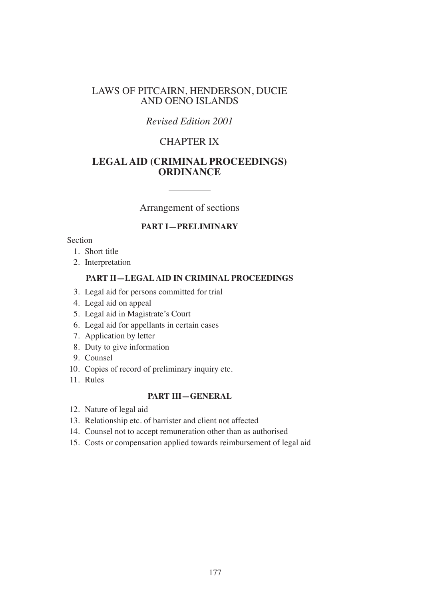## LAWS OF PITCAIRN, HENDERSON, DUCIE AND OENO ISLANDS

# *Revised Edition 2001*

# CHAPTER IX

# **LEGAL AID (CRIMINAL PROCEEDINGS) ORDINANCE**

Arrangement of sections

#### **PART I—PRELIMINARY**

Section

- 1. Short title
- 2. Interpretation

#### **PART II—LEGAL AID IN CRIMINAL PROCEEDINGS**

- 3. Legal aid for persons committed for trial
- 4. Legal aid on appeal
- 5. Legal aid in Magistrate's Court
- 6. Legal aid for appellants in certain cases
- 7. Application by letter
- 8. Duty to give information
- 9. Counsel
- 10. Copies of record of preliminary inquiry etc.
- 11. Rules

#### **PART III—GENERAL**

- 12. Nature of legal aid
- 13. Relationship etc. of barrister and client not affected
- 14. Counsel not to accept remuneration other than as authorised
- 15. Costs or compensation applied towards reimbursement of legal aid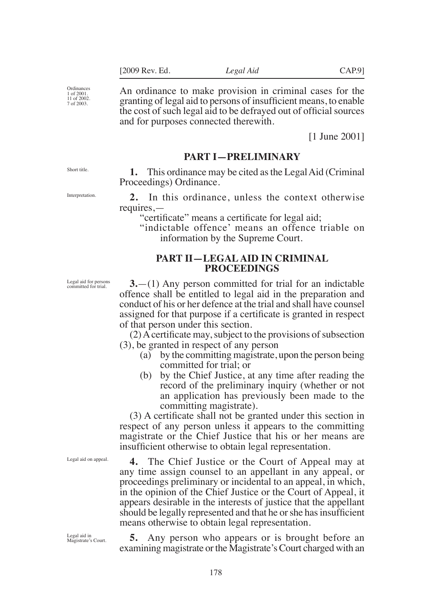Ordinances 1 of 2001. 11 of 2002. 7 of 2003.

An ordinance to make provision in criminal cases for the granting of legal aid to persons of insufficient means, to enable the cost of such legal aid to be defrayed out of official sources and for purposes connected therewith.

[1 June 2001]

## **PART I—PRELIMINARY**

**1.** This ordinance may be cited as the Legal Aid (Criminal Proceedings) Ordinance.

**2.** In this ordinance, unless the context otherwise requires,—

"certificate" means a certificate for legal aid:

"indictable offence' means an offence triable on information by the Supreme Court.

#### **PART II—LEGAL AID IN CRIMINAL PROCEEDINGS**

**3.**—(1) Any person committed for trial for an indictable offence shall be entitled to legal aid in the preparation and conduct of his or her defence at the trial and shall have counsel assigned for that purpose if a certificate is granted in respect of that person under this section.

 $(2)$  A certificate may, subject to the provisions of subsection (3), be granted in respect of any person

- (a) by the committing magistrate, upon the person being committed for trial; or
- (b) by the Chief Justice, at any time after reading the record of the preliminary inquiry (whether or not an application has previously been made to the committing magistrate).

(3) A certificate shall not be granted under this section in respect of any person unless it appears to the committing magistrate or the Chief Justice that his or her means are insufficient otherwise to obtain legal representation.

**4.** The Chief Justice or the Court of Appeal may at any time assign counsel to an appellant in any appeal, or proceedings preliminary or incidental to an appeal, in which, in the opinion of the Chief Justice or the Court of Appeal, it appears desirable in the interests of justice that the appellant should be legally represented and that he or she has insufficient means otherwise to obtain legal representation.

Legal aid in Magistrate's Court.

Legal aid on appeal.

**5.** Any person who appears or is brought before an examining magistrate or the Magistrate's Court charged with an

Short title.

Interpretation.

Legal aid for persons committed for trial.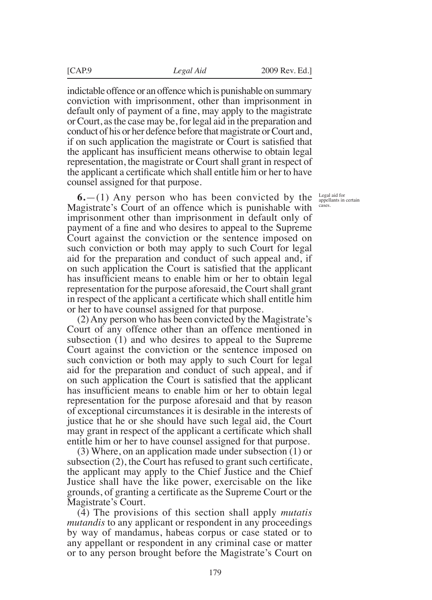indictable offence or an offence which is punishable on summary conviction with imprisonment, other than imprisonment in default only of payment of a fine, may apply to the magistrate or Court, as the case may be, for legal aid in the preparation and conduct of his or her defence before that magistrate or Court and, if on such application the magistrate or Court is satisfied that the applicant has insufficient means otherwise to obtain legal representation, the magistrate or Court shall grant in respect of the applicant a certificate which shall entitle him or her to have counsel assigned for that purpose.

**6.**—(1) Any person who has been convicted by the Magistrate's Court of an offence which is punishable with imprisonment other than imprisonment in default only of payment of a fine and who desires to appeal to the Supreme Court against the conviction or the sentence imposed on such conviction or both may apply to such Court for legal aid for the preparation and conduct of such appeal and, if on such application the Court is satisfied that the applicant has insufficient means to enable him or her to obtain legal representation for the purpose aforesaid, the Court shall grant in respect of the applicant a certificate which shall entitle him or her to have counsel assigned for that purpose.

(2) Any person who has been convicted by the Magistrate's Court of any offence other than an offence mentioned in subsection (1) and who desires to appeal to the Supreme Court against the conviction or the sentence imposed on such conviction or both may apply to such Court for legal aid for the preparation and conduct of such appeal, and if on such application the Court is satisfied that the applicant has insufficient means to enable him or her to obtain legal representation for the purpose aforesaid and that by reason of exceptional circumstances it is desirable in the interests of justice that he or she should have such legal aid, the Court may grant in respect of the applicant a certificate which shall entitle him or her to have counsel assigned for that purpose.

(3) Where, on an application made under subsection (1) or subsection  $(2)$ , the Court has refused to grant such certificate, the applicant may apply to the Chief Justice and the Chief Justice shall have the like power, exercisable on the like grounds, of granting a certificate as the Supreme Court or the Magistrate's Court.

(4) The provisions of this section shall apply *mutatis mutandis* to any applicant or respondent in any proceedings by way of mandamus, habeas corpus or case stated or to any appellant or respondent in any criminal case or matter or to any person brought before the Magistrate's Court on

Legal aid for appellants in certain cases.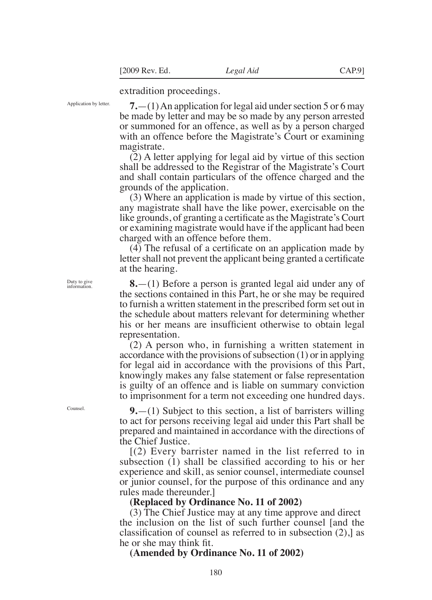extradition proceedings.

Application by letter.

**7.**—(1) An application for legal aid under section 5 or 6 may be made by letter and may be so made by any person arrested or summoned for an offence, as well as by a person charged with an offence before the Magistrate's Court or examining magistrate.

(2) A letter applying for legal aid by virtue of this section shall be addressed to the Registrar of the Magistrate's Court and shall contain particulars of the offence charged and the grounds of the application.

(3) Where an application is made by virtue of this section, any magistrate shall have the like power, exercisable on the like grounds, of granting a certificate as the Magistrate's Court or examining magistrate would have if the applicant had been charged with an offence before them.

 $(4)$  The refusal of a certificate on an application made by letter shall not prevent the applicant being granted a certificate at the hearing.

**8.**—(1) Before a person is granted legal aid under any of the sections contained in this Part, he or she may be required to furnish a written statement in the prescribed form set out in the schedule about matters relevant for determining whether his or her means are insufficient otherwise to obtain legal representation.

(2) A person who, in furnishing a written statement in accordance with the provisions of subsection (1) or in applying for legal aid in accordance with the provisions of this Part, knowingly makes any false statement or false representation is guilty of an offence and is liable on summary conviction to imprisonment for a term not exceeding one hundred days.

**9.**—(1) Subject to this section, a list of barristers willing to act for persons receiving legal aid under this Part shall be prepared and maintained in accordance with the directions of the Chief Justice.

 $(2)$  Every barrister named in the list referred to in subsection  $(1)$  shall be classified according to his or her experience and skill, as senior counsel, intermediate counsel or junior counsel, for the purpose of this ordinance and any rules made thereunder.]

#### **(Replaced by Ordinance No. 11 of 2002)**

(3) The Chief Justice may at any time approve and direct the inclusion on the list of such further counsel [and the classification of counsel as referred to in subsection  $(2)$ , as he or she may think fit.

**(Amended by Ordinance No. 11 of 2002)** 

Duty to give information.

Counsel.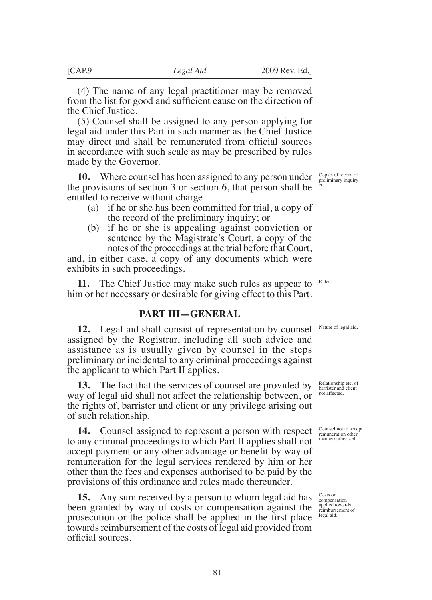(4) The name of any legal practitioner may be removed from the list for good and sufficient cause on the direction of the Chief Justice.

(5) Counsel shall be assigned to any person applying for legal aid under this Part in such manner as the Chief Justice may direct and shall be remunerated from official sources in accordance with such scale as may be prescribed by rules made by the Governor.

**10.** Where counsel has been assigned to any person under the provisions of section 3 or section 6, that person shall be entitled to receive without charge

- (a) if he or she has been committed for trial, a copy of the record of the preliminary inquiry; or
- (b) if he or she is appealing against conviction or sentence by the Magistrate's Court, a copy of the notes of the proceedings at the trial before that Court,

and, in either case, a copy of any documents which were exhibits in such proceedings.

**11.** The Chief Justice may make such rules as appear to him or her necessary or desirable for giving effect to this Part. Rules.

## **PART III—GENERAL**

**12.** Legal aid shall consist of representation by counsel assigned by the Registrar, including all such advice and assistance as is usually given by counsel in the steps preliminary or incidental to any criminal proceedings against the applicant to which Part II applies.

**13.** The fact that the services of counsel are provided by way of legal aid shall not affect the relationship between, or the rights of, barrister and client or any privilege arising out of such relationship.

**14.** Counsel assigned to represent a person with respect to any criminal proceedings to which Part II applies shall not accept payment or any other advantage or benefit by way of remuneration for the legal services rendered by him or her other than the fees and expenses authorised to be paid by the provisions of this ordinance and rules made thereunder.

**15.** Any sum received by a person to whom legal aid has been granted by way of costs or compensation against the prosecution or the police shall be applied in the first place towards reimbursement of the costs of legal aid provided from oficial sources.

Copies of record of preliminary inquiry etc.

Nature of legal aid.

Relationship etc. of barrister and client not affected.

Counsel not to accept remuneration other than as authorised.

Costs or compensation applied towards reimbursement of legal aid.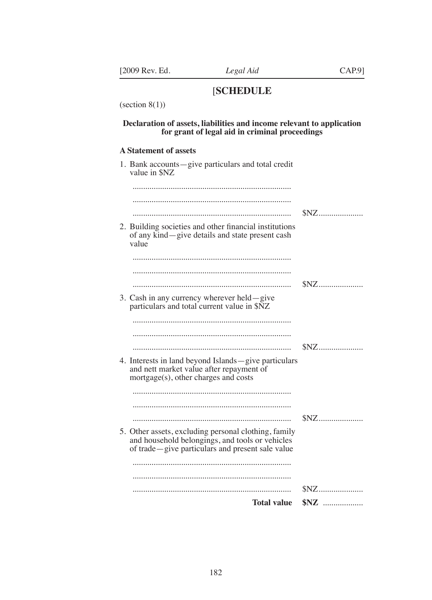# [**SCHEDULE**

(section  $8(1)$ )

#### **Declaration of assets, liabilities and income relevant to application for grant of legal aid in criminal proceedings**

#### **A Statement of assets**

| 1. Bank accounts-give particulars and total credit<br>value in \$NZ                                                                                         |       |
|-------------------------------------------------------------------------------------------------------------------------------------------------------------|-------|
|                                                                                                                                                             |       |
|                                                                                                                                                             |       |
|                                                                                                                                                             | $SNZ$ |
| 2. Building societies and other financial institutions<br>of any kind—give details and state present cash<br>value                                          |       |
|                                                                                                                                                             |       |
|                                                                                                                                                             |       |
|                                                                                                                                                             | $SNZ$ |
| 3. Cash in any currency wherever held—give<br>particulars and total current value in \$NZ                                                                   |       |
|                                                                                                                                                             |       |
|                                                                                                                                                             |       |
|                                                                                                                                                             |       |
| 4. Interests in land beyond Islands - give particulars<br>and nett market value after repayment of<br>mortgage(s), other charges and costs                  |       |
|                                                                                                                                                             |       |
|                                                                                                                                                             |       |
|                                                                                                                                                             |       |
| 5. Other assets, excluding personal clothing, family<br>and household belongings, and tools or vehicles<br>of trade-give particulars and present sale value |       |
|                                                                                                                                                             |       |
|                                                                                                                                                             |       |
|                                                                                                                                                             |       |
| <b>Total value</b>                                                                                                                                          |       |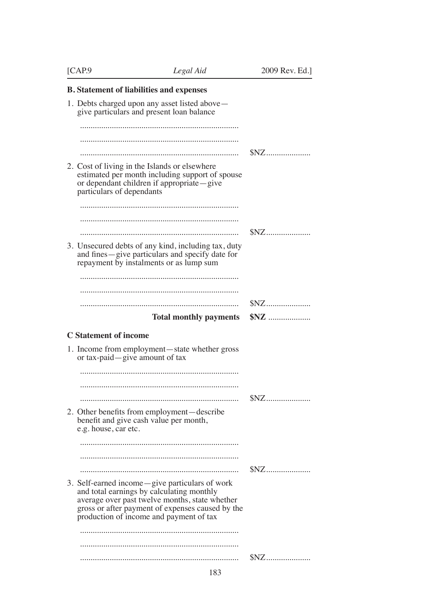| [CAP.9]                        | Legal Aid                                                                                                                                                                                                                                    | 2009 Rev. Ed.]                   |
|--------------------------------|----------------------------------------------------------------------------------------------------------------------------------------------------------------------------------------------------------------------------------------------|----------------------------------|
|                                | <b>B.</b> Statement of liabilities and expenses                                                                                                                                                                                              |                                  |
|                                | 1. Debts charged upon any asset listed above-<br>give particulars and present loan balance                                                                                                                                                   |                                  |
|                                |                                                                                                                                                                                                                                              |                                  |
|                                |                                                                                                                                                                                                                                              |                                  |
|                                |                                                                                                                                                                                                                                              |                                  |
| particulars of dependants      | 2. Cost of living in the Islands or elsewhere<br>estimated per month including support of spouse<br>or dependant children if appropriate—give                                                                                                |                                  |
|                                |                                                                                                                                                                                                                                              |                                  |
|                                |                                                                                                                                                                                                                                              |                                  |
|                                |                                                                                                                                                                                                                                              |                                  |
|                                | 3. Unsecured debts of any kind, including tax, duty<br>and fines-give particulars and specify date for<br>repayment by instalments or as lump sum                                                                                            |                                  |
|                                |                                                                                                                                                                                                                                              |                                  |
|                                |                                                                                                                                                                                                                                              |                                  |
|                                |                                                                                                                                                                                                                                              | $SNZ$                            |
|                                | <b>Total monthly payments</b>                                                                                                                                                                                                                |                                  |
| <b>C</b> Statement of income   |                                                                                                                                                                                                                                              |                                  |
|                                |                                                                                                                                                                                                                                              |                                  |
| or tax-paid—give amount of tax | 1. Income from employment—state whether gross                                                                                                                                                                                                |                                  |
|                                |                                                                                                                                                                                                                                              |                                  |
|                                |                                                                                                                                                                                                                                              |                                  |
|                                |                                                                                                                                                                                                                                              | $SNZ$                            |
| e.g. house, car etc.           | 2. Other benefits from employment—describe<br>benefit and give cash value per month,                                                                                                                                                         |                                  |
|                                |                                                                                                                                                                                                                                              |                                  |
|                                |                                                                                                                                                                                                                                              |                                  |
|                                |                                                                                                                                                                                                                                              | $\mathbb{S}\mathsf{N}\mathsf{Z}$ |
|                                | 3. Self-earned income—give particulars of work<br>and total earnings by calculating monthly<br>average over past twelve months, state whether<br>gross or after payment of expenses caused by the<br>production of income and payment of tax |                                  |
|                                |                                                                                                                                                                                                                                              |                                  |
|                                |                                                                                                                                                                                                                                              |                                  |
|                                |                                                                                                                                                                                                                                              | $SNZ$                            |
|                                |                                                                                                                                                                                                                                              |                                  |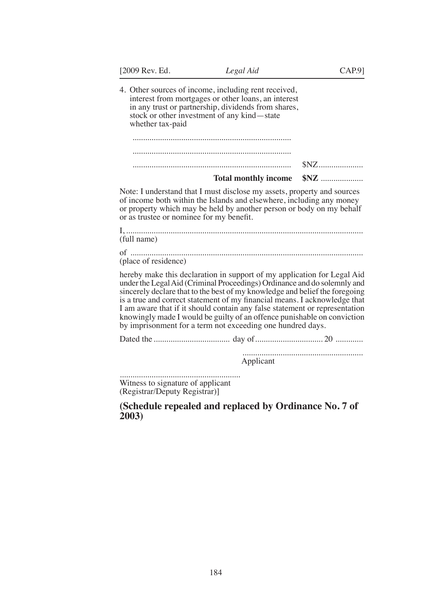| [2009 Rev. Ed.                                                     | Legal Aid                                                                                                                                                                                                                                                                                                                                                                                                                                                                                                                              | CAP.9] |
|--------------------------------------------------------------------|----------------------------------------------------------------------------------------------------------------------------------------------------------------------------------------------------------------------------------------------------------------------------------------------------------------------------------------------------------------------------------------------------------------------------------------------------------------------------------------------------------------------------------------|--------|
| whether tax-paid                                                   | 4. Other sources of income, including rent received,<br>interest from mortgages or other loans, an interest<br>in any trust or partnership, dividends from shares,<br>stock or other investment of any kind—state                                                                                                                                                                                                                                                                                                                      |        |
|                                                                    |                                                                                                                                                                                                                                                                                                                                                                                                                                                                                                                                        |        |
|                                                                    |                                                                                                                                                                                                                                                                                                                                                                                                                                                                                                                                        |        |
|                                                                    |                                                                                                                                                                                                                                                                                                                                                                                                                                                                                                                                        | $SNZ$  |
|                                                                    | <b>Total monthly income</b>                                                                                                                                                                                                                                                                                                                                                                                                                                                                                                            |        |
| or as trustee or nominee for my benefit.                           | Note: I understand that I must disclose my assets, property and sources<br>of income both within the Islands and elsewhere, including any money<br>or property which may be held by another person or body on my behalf                                                                                                                                                                                                                                                                                                                |        |
| (full name)                                                        |                                                                                                                                                                                                                                                                                                                                                                                                                                                                                                                                        |        |
| (place of residence)                                               |                                                                                                                                                                                                                                                                                                                                                                                                                                                                                                                                        |        |
|                                                                    | hereby make this declaration in support of my application for Legal Aid<br>under the Legal Aid (Criminal Proceedings) Ordinance and do solemnly and<br>sincerely declare that to the best of my knowledge and belief the foregoing<br>is a true and correct statement of my financial means. I acknowledge that<br>I am aware that if it should contain any false statement or representation<br>knowingly made I would be guilty of an offence punishable on conviction<br>by imprisonment for a term not exceeding one hundred days. |        |
|                                                                    |                                                                                                                                                                                                                                                                                                                                                                                                                                                                                                                                        |        |
|                                                                    | Applicant                                                                                                                                                                                                                                                                                                                                                                                                                                                                                                                              |        |
| Witness to signature of applicant<br>(Registrar/Deputy Registrar)] |                                                                                                                                                                                                                                                                                                                                                                                                                                                                                                                                        |        |
| 2003)                                                              | (Schedule repealed and replaced by Ordinance No. 7 of                                                                                                                                                                                                                                                                                                                                                                                                                                                                                  |        |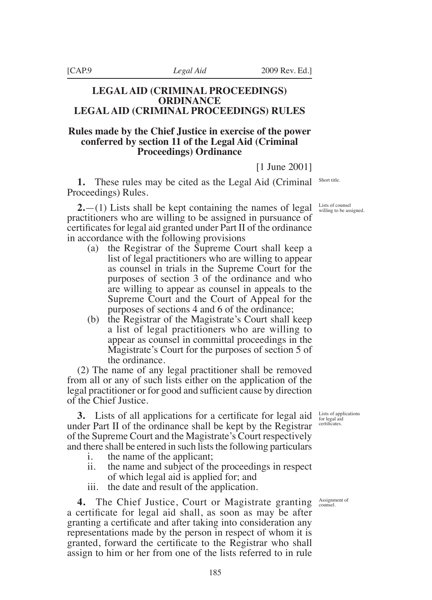## **LEGAL AID (CRIMINAL PROCEEDINGS) ORDINANCE LEGAL AID (CRIMINAL PROCEEDINGS) RULES**

## **Rules made by the Chief Justice in exercise of the power conferred by section 11 of the Legal Aid (Criminal Proceedings) Ordinance**

[1 June 2001]

**1.** These rules may be cited as the Legal Aid (Criminal Proceedings) Rules.

**2.**—(1) Lists shall be kept containing the names of legal practitioners who are willing to be assigned in pursuance of certificates for legal aid granted under Part II of the ordinance in accordance with the following provisions

- (a) the Registrar of the Supreme Court shall keep a list of legal practitioners who are willing to appear as counsel in trials in the Supreme Court for the purposes of section 3 of the ordinance and who are willing to appear as counsel in appeals to the Supreme Court and the Court of Appeal for the purposes of sections 4 and 6 of the ordinance;
- (b) the Registrar of the Magistrate's Court shall keep a list of legal practitioners who are willing to appear as counsel in committal proceedings in the Magistrate's Court for the purposes of section 5 of the ordinance.

(2) The name of any legal practitioner shall be removed from all or any of such lists either on the application of the legal practitioner or for good and sufficient cause by direction of the Chief Justice.

**3.** Lists of all applications for a certificate for legal aid under Part II of the ordinance shall be kept by the Registrar of the Supreme Court and the Magistrate's Court respectively and there shall be entered in such lists the following particulars

- i. the name of the applicant;
- ii. the name and subject of the proceedings in respect of which legal aid is applied for; and
- iii. the date and result of the application.

**4.** The Chief Justice, Court or Magistrate granting a certificate for legal aid shall, as soon as may be after granting a certificate and after taking into consideration any representations made by the person in respect of whom it is granted, forward the certificate to the Registrar who shall assign to him or her from one of the lists referred to in rule

Short title.

Lists of counsel willing to be assigned.

Lists of applications for legal aid certificates.

Assignment of counsel.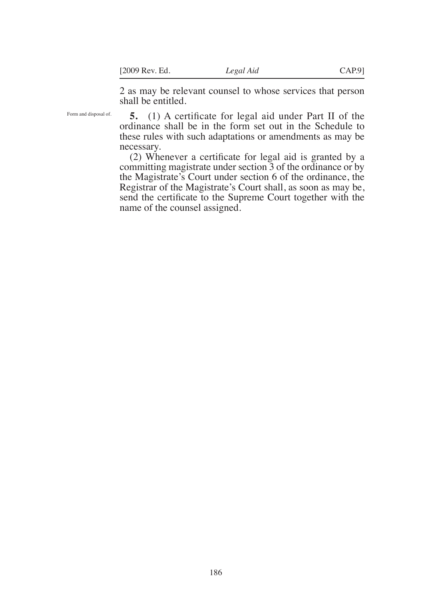2 as may be relevant counsel to whose services that person shall be entitled.

Form and disposal of.

**5.** (1) A certificate for legal aid under Part II of the ordinance shall be in the form set out in the Schedule to these rules with such adaptations or amendments as may be necessary.

(2) Whenever a certificate for legal aid is granted by a committing magistrate under section 3 of the ordinance or by the Magistrate's Court under section 6 of the ordinance, the Registrar of the Magistrate's Court shall, as soon as may be, send the certificate to the Supreme Court together with the name of the counsel assigned.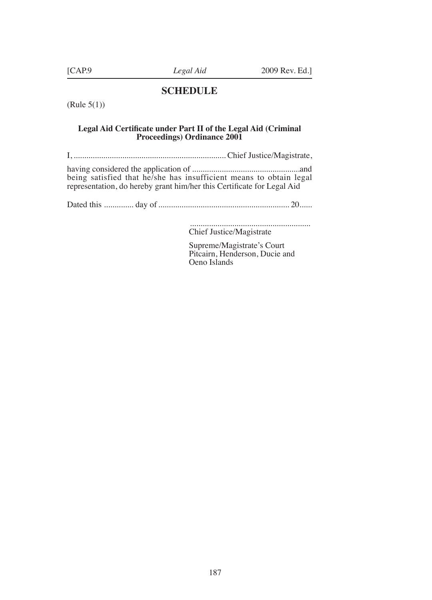#### **SCHEDULE**

(Rule 5(1))

#### **Legal Aid Certiicate under Part II of the Legal Aid (Criminal Proceedings) Ordinance 2001**

I, ........................................................................ Chief Justice/Magistrate,

having considered the application of ...................................................and being satisfied that he/she has insufficient means to obtain legal representation, do hereby grant him/her this Certificate for Legal Aid

Dated this .............. day of .............................................................. 20......

 ......................................................... Chief Justice/Magistrate

 Supreme/Magistrate's Court Pitcairn, Henderson, Ducie and Oeno Islands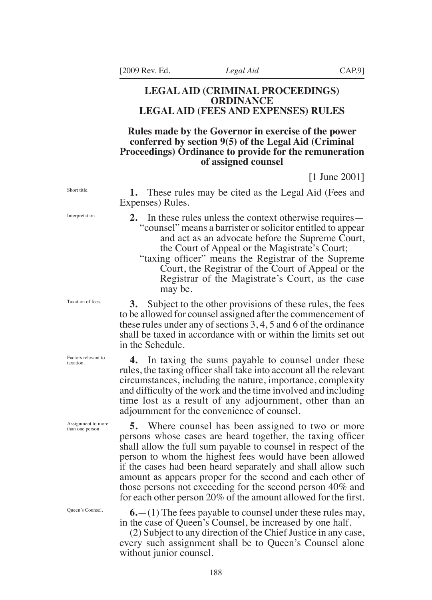#### **LEGAL AID (CRIMINAL PROCEEDINGS) ORDINANCE LEGAL AID (FEES AND EXPENSES) RULES**

## **Rules made by the Governor in exercise of the power conferred by section 9(5) of the Legal Aid (Criminal Proceedings) Ordinance to provide for the remuneration of assigned counsel**

[1 June 2001]

**1.** These rules may be cited as the Legal Aid (Fees and Expenses) Rules.

- **2.** In these rules unless the context otherwise requires— "counsel" means a barrister or solicitor entitled to appear and act as an advocate before the Supreme Court, the Court of Appeal or the Magistrate's Court;
	- "taxing officer" means the Registrar of the Supreme Court, the Registrar of the Court of Appeal or the Registrar of the Magistrate's Court, as the case may be.

**3.** Subject to the other provisions of these rules, the fees to be allowed for counsel assigned after the commencement of these rules under any of sections 3, 4, 5 and 6 of the ordinance shall be taxed in accordance with or within the limits set out in the Schedule.

**4.** In taxing the sums payable to counsel under these rules, the taxing officer shall take into account all the relevant circumstances, including the nature, importance, complexity and difficulty of the work and the time involved and including time lost as a result of any adjournment, other than an adjournment for the convenience of counsel.

**5.** Where counsel has been assigned to two or more persons whose cases are heard together, the taxing officer shall allow the full sum payable to counsel in respect of the person to whom the highest fees would have been allowed if the cases had been heard separately and shall allow such amount as appears proper for the second and each other of those persons not exceeding for the second person 40% and for each other person  $20\%$  of the amount allowed for the first.

**6.**—(1) The fees payable to counsel under these rules may, in the case of Queen's Counsel, be increased by one half.

(2) Subject to any direction of the Chief Justice in any case, every such assignment shall be to Queen's Counsel alone without junior counsel.

Short title.

Interpretation.

Taxation of fees.

Factors relevant to taxation.

Assignment to more than one person.

Queen's Counsel.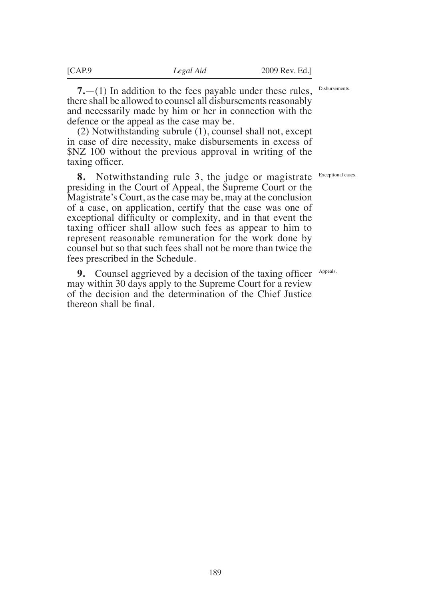**7.**—(1) In addition to the fees payable under these rules, there shall be allowed to counsel all disbursements reasonably and necessarily made by him or her in connection with the defence or the appeal as the case may be.

(2) Notwithstanding subrule (1), counsel shall not, except in case of dire necessity, make disbursements in excess of \$NZ 100 without the previous approval in writing of the taxing officer.

**8.** Notwithstanding rule 3, the judge or magistrate presiding in the Court of Appeal, the Supreme Court or the Magistrate's Court, as the case may be, may at the conclusion of a case, on application, certify that the case was one of exceptional difficulty or complexity, and in that event the taxing officer shall allow such fees as appear to him to represent reasonable remuneration for the work done by counsel but so that such fees shall not be more than twice the fees prescribed in the Schedule.

**9.** Counsel aggrieved by a decision of the taxing officer Appeals. may within 30 days apply to the Supreme Court for a review of the decision and the determination of the Chief Justice thereon shall be final.

Disbursements.

Exceptional cases.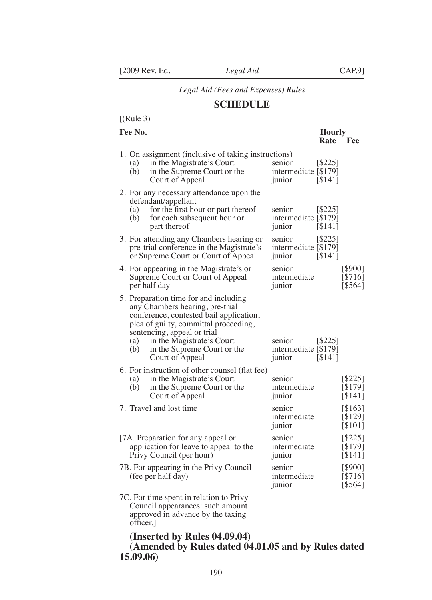## *Legal Aid (Fees and Expenses) Rules*

## **SCHEDULE**

# $[(Rule 3)]$

#### **Fee No. Hourly**

|            |                                                                                                                                                                                                                                                                            |                                          | <b>Rate</b>          | Fee                           |
|------------|----------------------------------------------------------------------------------------------------------------------------------------------------------------------------------------------------------------------------------------------------------------------------|------------------------------------------|----------------------|-------------------------------|
| (a)<br>(b) | 1. On assignment (inclusive of taking instructions)<br>in the Magistrate's Court<br>in the Supreme Court or the<br>Court of Appeal                                                                                                                                         | senior<br>intermediate [\$179]<br>junior | $[ $225]$<br>[\$141] |                               |
| (a)<br>(b) | 2. For any necessary attendance upon the<br>defendant/appellant<br>for the first hour or part thereof<br>for each subsequent hour or<br>part thereof                                                                                                                       | senior<br>intermediate [\$179]<br>junior | $[ $225]$<br>[\$141] |                               |
|            | 3. For attending any Chambers hearing or<br>pre-trial conference in the Magistrate's<br>or Supreme Court or Court of Appeal                                                                                                                                                | senior<br>intermediate [\$179]<br>junior | [\$225]<br>[\$141]   |                               |
|            | 4. For appearing in the Magistrate's or<br>Supreme Court or Court of Appeal<br>per half day                                                                                                                                                                                | senior<br>intermediate<br>junior         |                      | [\$900]<br>[\$716]<br>[\$564] |
| (a)<br>(b) | 5. Preparation time for and including<br>any Chambers hearing, pre-trial<br>conference, contested bail application,<br>plea of guilty, committal proceeding,<br>sentencing, appeal or trial<br>in the Magistrate's Court<br>in the Supreme Court or the<br>Court of Appeal | senior<br>intermediate [\$179]<br>junior | [S225]<br>[\$141]    |                               |
| (a)<br>(b) | 6. For instruction of other counsel (flat fee)<br>in the Magistrate's Court<br>in the Supreme Court or the<br>Court of Appeal                                                                                                                                              | senior<br>intermediate<br>junior         |                      | [\$225]<br>[\$179]<br>[\$141] |
|            | 7. Travel and lost time                                                                                                                                                                                                                                                    | senior<br>intermediate<br>junior         |                      | [\$163]<br>[\$129]<br>[\$101] |
|            | [7A. Preparation for any appeal or<br>application for leave to appeal to the<br>Privy Council (per hour)                                                                                                                                                                   | senior<br>intermediate<br>junior         |                      | [\$225]<br>[\$179]<br>[\$141] |
|            | 7B. For appearing in the Privy Council<br>(fee per half day)                                                                                                                                                                                                               | senior<br>intermediate<br>junior         |                      | [\$900]<br>[\$716]<br>[\$564] |
|            | 7C. For time spent in relation to Privy<br>Council appearances: such amount<br>approved in advance by the taxing                                                                                                                                                           |                                          |                      |                               |

**(Inserted by Rules 04.09.04)**

 oficer.]

# **(Amended by Rules dated 04.01.05 and by Rules dated 15.09.06)**